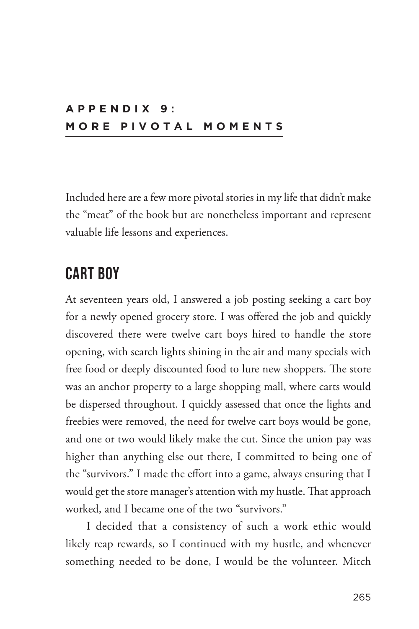#### **A P P E N D I X 9 : MORE PIVOTAL MOMENTS**

Included here are a few more pivotal stories in my life that didn't make the "meat" of the book but are nonetheless important and represent valuable life lessons and experiences.

## **CART BOY**

At seventeen years old, I answered a job posting seeking a cart boy for a newly opened grocery store. I was offered the job and quickly discovered there were twelve cart boys hired to handle the store opening, with search lights shining in the air and many specials with free food or deeply discounted food to lure new shoppers. The store was an anchor property to a large shopping mall, where carts would be dispersed throughout. I quickly assessed that once the lights and freebies were removed, the need for twelve cart boys would be gone, and one or two would likely make the cut. Since the union pay was higher than anything else out there, I committed to being one of the "survivors." I made the effort into a game, always ensuring that I would get the store manager's attention with my hustle. That approach worked, and I became one of the two "survivors."

I decided that a consistency of such a work ethic would likely reap rewards, so I continued with my hustle, and whenever something needed to be done, I would be the volunteer. Mitch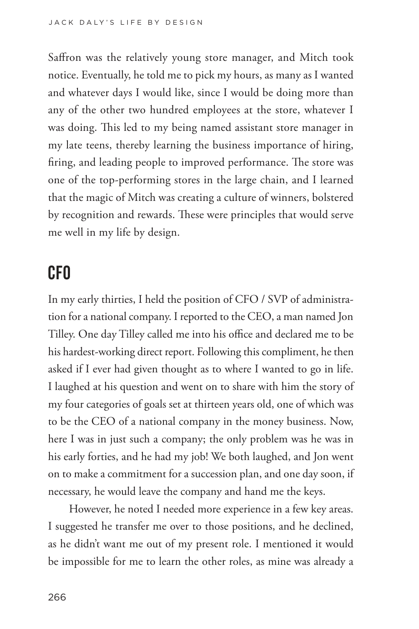Saffron was the relatively young store manager, and Mitch took notice. Eventually, he told me to pick my hours, as many as I wanted and whatever days I would like, since I would be doing more than any of the other two hundred employees at the store, whatever I was doing. This led to my being named assistant store manager in my late teens, thereby learning the business importance of hiring, firing, and leading people to improved performance. The store was one of the top-performing stores in the large chain, and I learned that the magic of Mitch was creating a culture of winners, bolstered by recognition and rewards. These were principles that would serve me well in my life by design.

### **CFO**

In my early thirties, I held the position of CFO / SVP of administration for a national company. I reported to the CEO, a man named Jon Tilley. One day Tilley called me into his office and declared me to be his hardest-working direct report. Following this compliment, he then asked if I ever had given thought as to where I wanted to go in life. I laughed at his question and went on to share with him the story of my four categories of goals set at thirteen years old, one of which was to be the CEO of a national company in the money business. Now, here I was in just such a company; the only problem was he was in his early forties, and he had my job! We both laughed, and Jon went on to make a commitment for a succession plan, and one day soon, if necessary, he would leave the company and hand me the keys.

However, he noted I needed more experience in a few key areas. I suggested he transfer me over to those positions, and he declined, as he didn't want me out of my present role. I mentioned it would be impossible for me to learn the other roles, as mine was already a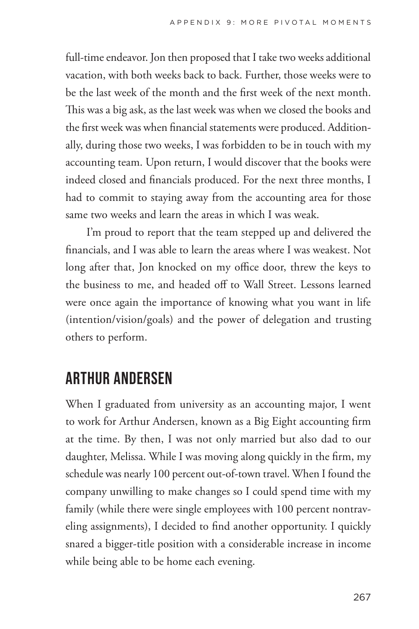full-time endeavor. Jon then proposed that I take two weeks additional vacation, with both weeks back to back. Further, those weeks were to be the last week of the month and the first week of the next month. This was a big ask, as the last week was when we closed the books and the first week was when financial statements were produced. Additionally, during those two weeks, I was forbidden to be in touch with my accounting team. Upon return, I would discover that the books were indeed closed and financials produced. For the next three months, I had to commit to staying away from the accounting area for those same two weeks and learn the areas in which I was weak.

I'm proud to report that the team stepped up and delivered the financials, and I was able to learn the areas where I was weakest. Not long after that, Jon knocked on my office door, threw the keys to the business to me, and headed off to Wall Street. Lessons learned were once again the importance of knowing what you want in life (intention/vision/goals) and the power of delegation and trusting others to perform.

# **ARTHUR ANDERSEN**

When I graduated from university as an accounting major, I went to work for Arthur Andersen, known as a Big Eight accounting firm at the time. By then, I was not only married but also dad to our daughter, Melissa. While I was moving along quickly in the firm, my schedule was nearly 100 percent out-of-town travel. When I found the company unwilling to make changes so I could spend time with my family (while there were single employees with 100 percent nontraveling assignments), I decided to find another opportunity. I quickly snared a bigger-title position with a considerable increase in income while being able to be home each evening.